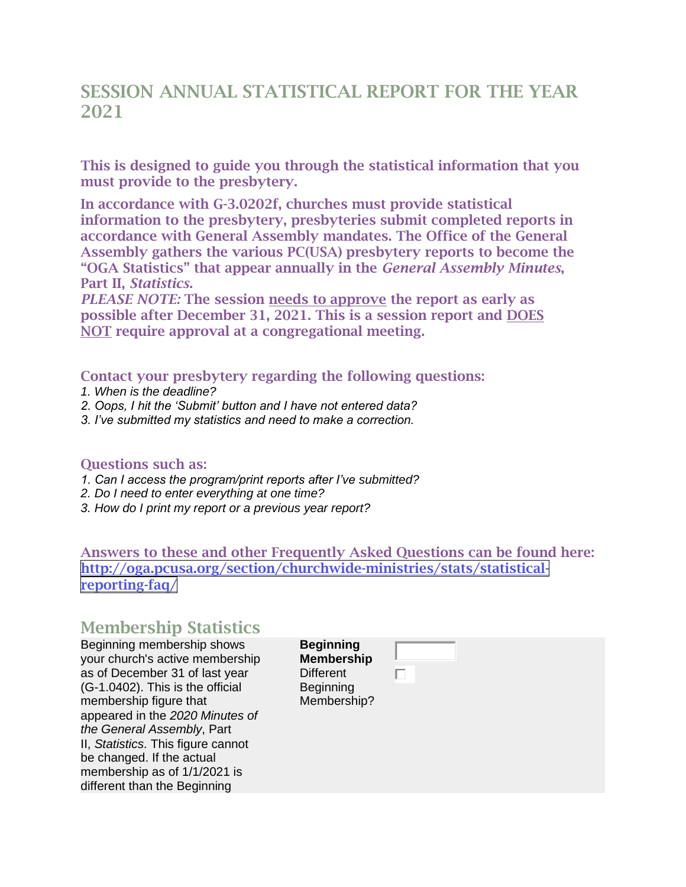## SESSION ANNUAL STATISTICAL REPORT FOR THE YEAR 2021

This is designed to guide you through the statistical information that you must provide to the presbytery.

In accordance with G-3.0202f, churches must provide statistical information to the presbytery, presbyteries submit completed reports in accordance with General Assembly mandates. The Office of the General Assembly gathers the various PC(USA) presbytery reports to become the "OGA Statistics" that appear annually in the *General Assembly Minutes*, Part II, *Statistics.*

*PLEASE NOTE:* The session needs to approve the report as early as possible after December 31, 2021. This is a session report and DOES NOT require approval at a congregational meeting.

Contact your presbytery regarding the following questions:

- *1. When is the deadline?*
- *2. Oops, I hit the 'Submit' button and I have not entered data?*
- *3. I've submitted my statistics and need to make a correction.*

#### Questions such as:

- *1. Can I access the program/print reports after I've submitted?*
- *2. Do I need to enter everything at one time?*
- *3. How do I print my report or a previous year report?*

Answers to these and other Frequently Asked Questions can be found here: [http://oga.pcusa.org/section/churchwide-ministries/stats/statistical](http://oga.pcusa.org/section/churchwide-ministries/stats/statistical-reporting-faq/)[reporting-faq/](http://oga.pcusa.org/section/churchwide-ministries/stats/statistical-reporting-faq/)

### Membership Statistics

Beginning membership shows your church's active membership as of December 31 of last year (G-1.0402). This is the official membership figure that appeared in the *2020 Minutes of the General Assembly*, Part II, *Statistics*. This figure cannot be changed. If the actual membership as of 1/1/2021 is different than the Beginning

**Beginning Membership Different Beginning** Membership?

П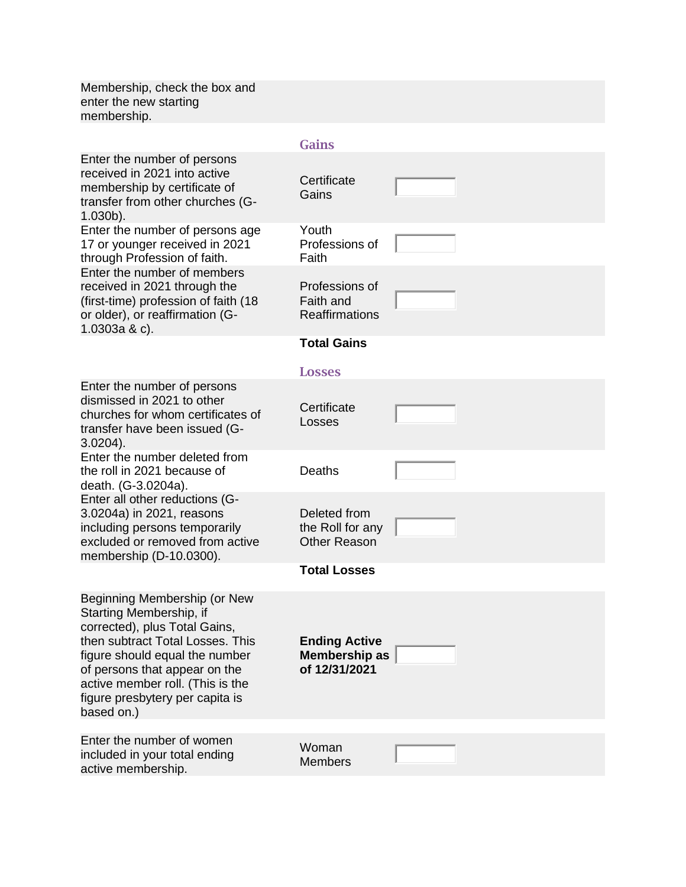Membership, check the box and enter the new starting membership.

#### Gains

| Enter the number of persons<br>received in 2021 into active<br>membership by certificate of<br>transfer from other churches (G-<br>$1.030b$ ).                                                                                                                                       | Certificate<br>Gains                                               |  |
|--------------------------------------------------------------------------------------------------------------------------------------------------------------------------------------------------------------------------------------------------------------------------------------|--------------------------------------------------------------------|--|
| Enter the number of persons age<br>17 or younger received in 2021<br>through Profession of faith.                                                                                                                                                                                    | Youth<br>Professions of<br>Faith                                   |  |
| Enter the number of members<br>received in 2021 through the<br>(first-time) profession of faith (18)<br>or older), or reaffirmation (G-<br>1.0303a & c).                                                                                                                             | Professions of<br>Faith and<br><b>Reaffirmations</b>               |  |
|                                                                                                                                                                                                                                                                                      | <b>Total Gains</b>                                                 |  |
|                                                                                                                                                                                                                                                                                      | <b>Losses</b>                                                      |  |
| Enter the number of persons<br>dismissed in 2021 to other<br>churches for whom certificates of<br>transfer have been issued (G-<br>$3.0204$ ).                                                                                                                                       | Certificate<br>Losses                                              |  |
| Enter the number deleted from<br>the roll in 2021 because of<br>death. (G-3.0204a).                                                                                                                                                                                                  | Deaths                                                             |  |
| Enter all other reductions (G-<br>3.0204a) in 2021, reasons<br>including persons temporarily<br>excluded or removed from active<br>membership (D-10.0300).                                                                                                                           | Deleted from<br>the Roll for any<br><b>Other Reason</b>            |  |
|                                                                                                                                                                                                                                                                                      | <b>Total Losses</b>                                                |  |
| Beginning Membership (or New<br>Starting Membership, if<br>corrected), plus Total Gains,<br>then subtract Total Losses. This<br>figure should equal the number<br>of persons that appear on the<br>active member roll. (This is the<br>figure presbytery per capita is<br>based on.) | <b>Ending Active</b><br>Membership as $\parallel$<br>of 12/31/2021 |  |
| Enter the number of women<br>included in your total ending<br>active membership.                                                                                                                                                                                                     | Woman<br><b>Members</b>                                            |  |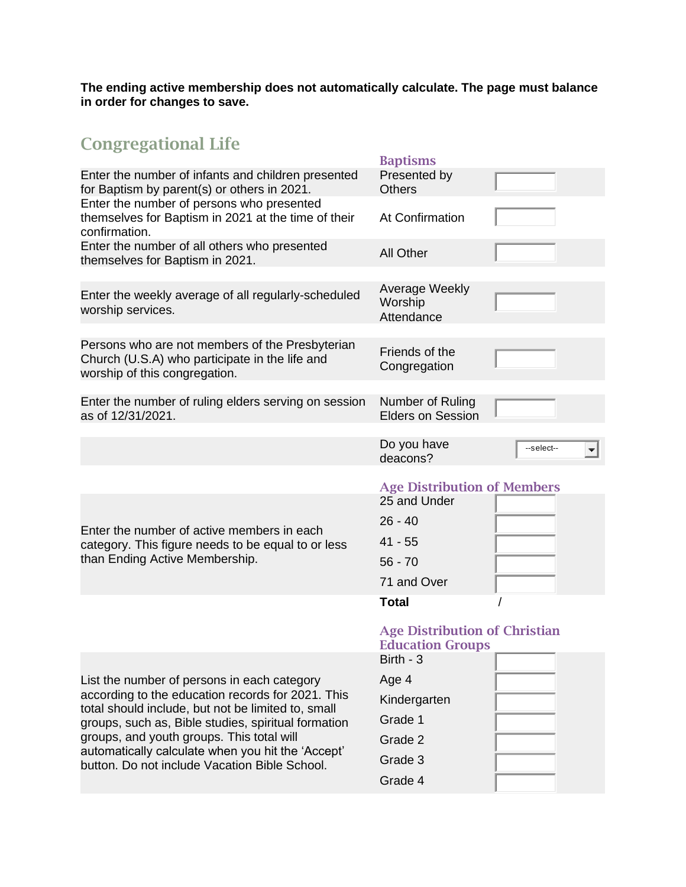**The ending active membership does not automatically calculate. The page must balance in order for changes to save.**

# Congregational Life

|                                                                                                                                    | <b>Baptisms</b>                                                                                          |
|------------------------------------------------------------------------------------------------------------------------------------|----------------------------------------------------------------------------------------------------------|
| Enter the number of infants and children presented<br>for Baptism by parent(s) or others in 2021.                                  | Presented by<br><b>Others</b>                                                                            |
| Enter the number of persons who presented<br>themselves for Baptism in 2021 at the time of their<br>confirmation.                  | At Confirmation                                                                                          |
| Enter the number of all others who presented<br>themselves for Baptism in 2021.                                                    | <b>All Other</b>                                                                                         |
| Enter the weekly average of all regularly-scheduled<br>worship services.                                                           | Average Weekly<br>Worship<br>Attendance                                                                  |
| Persons who are not members of the Presbyterian<br>Church (U.S.A) who participate in the life and<br>worship of this congregation. | Friends of the<br>Congregation                                                                           |
| Enter the number of ruling elders serving on session<br>as of 12/31/2021.                                                          | Number of Ruling<br><b>Elders on Session</b>                                                             |
|                                                                                                                                    | Do you have<br>--select--<br>deacons?                                                                    |
| Enter the number of active members in each<br>category. This figure needs to be equal to or less<br>than Ending Active Membership. | <b>Age Distribution of Members</b><br>25 and Under<br>$26 - 40$<br>$41 - 55$<br>$56 - 70$<br>71 and Over |
|                                                                                                                                    | <b>Total</b>                                                                                             |
|                                                                                                                                    | <b>Age Distribution of Christian</b><br><b>Education Groups</b><br>Birth - 3                             |
| List the number of persons in each category                                                                                        | Age 4                                                                                                    |
| according to the education records for 2021. This                                                                                  | Kindergarten                                                                                             |
| total should include, but not be limited to, small<br>groups, such as, Bible studies, spiritual formation                          | Grade 1                                                                                                  |
| groups, and youth groups. This total will                                                                                          | Grade 2                                                                                                  |
| automatically calculate when you hit the 'Accept'<br>button. Do not include Vacation Bible School.                                 | Grade 3                                                                                                  |

Grade 4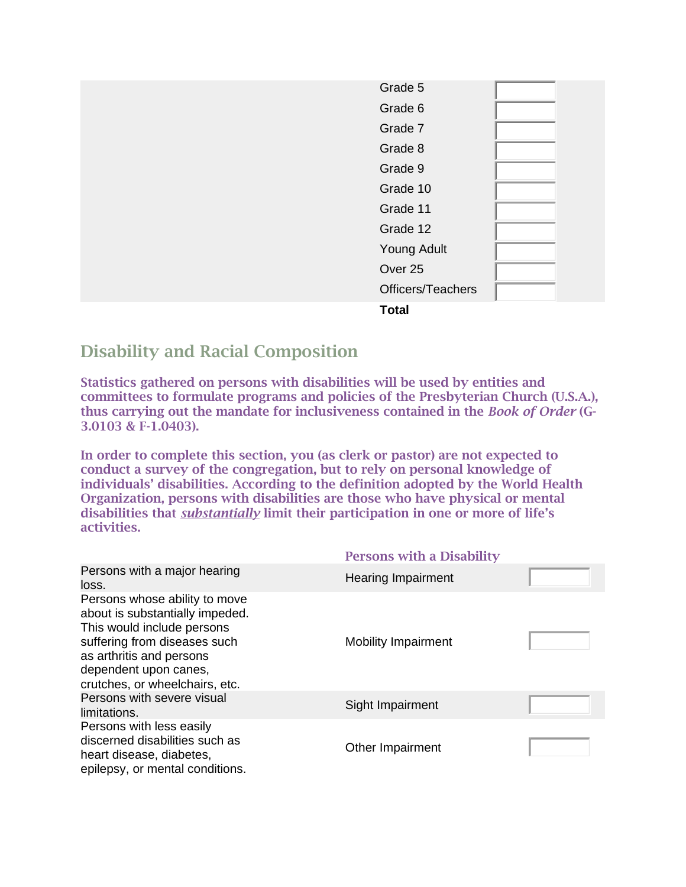| Grade 5           |  |
|-------------------|--|
| Grade 6           |  |
| Grade 7           |  |
| Grade 8           |  |
| Grade 9           |  |
| Grade 10          |  |
| Grade 11          |  |
| Grade 12          |  |
| Young Adult       |  |
| Over 25           |  |
| Officers/Teachers |  |
|                   |  |

**Total**

## Disability and Racial Composition

Statistics gathered on persons with disabilities will be used by entities and committees to formulate programs and policies of the Presbyterian Church (U.S.A.), thus carrying out the mandate for inclusiveness contained in the *Book of Order* (G-3.0103 & F-1.0403).

In order to complete this section, you (as clerk or pastor) are not expected to conduct a survey of the congregation, but to rely on personal knowledge of individuals' disabilities. According to the definition adopted by the World Health Organization, persons with disabilities are those who have physical or mental disabilities that *substantially* limit their participation in one or more of life's activities.

|                                                                                                                                                                                                                       | <b>Persons with a Disability</b> |  |
|-----------------------------------------------------------------------------------------------------------------------------------------------------------------------------------------------------------------------|----------------------------------|--|
| Persons with a major hearing<br>loss.                                                                                                                                                                                 | <b>Hearing Impairment</b>        |  |
| Persons whose ability to move<br>about is substantially impeded.<br>This would include persons<br>suffering from diseases such<br>as arthritis and persons<br>dependent upon canes,<br>crutches, or wheelchairs, etc. | <b>Mobility Impairment</b>       |  |
| Persons with severe visual<br>limitations.                                                                                                                                                                            | Sight Impairment                 |  |
| Persons with less easily<br>discerned disabilities such as<br>heart disease, diabetes,<br>epilepsy, or mental conditions.                                                                                             | Other Impairment                 |  |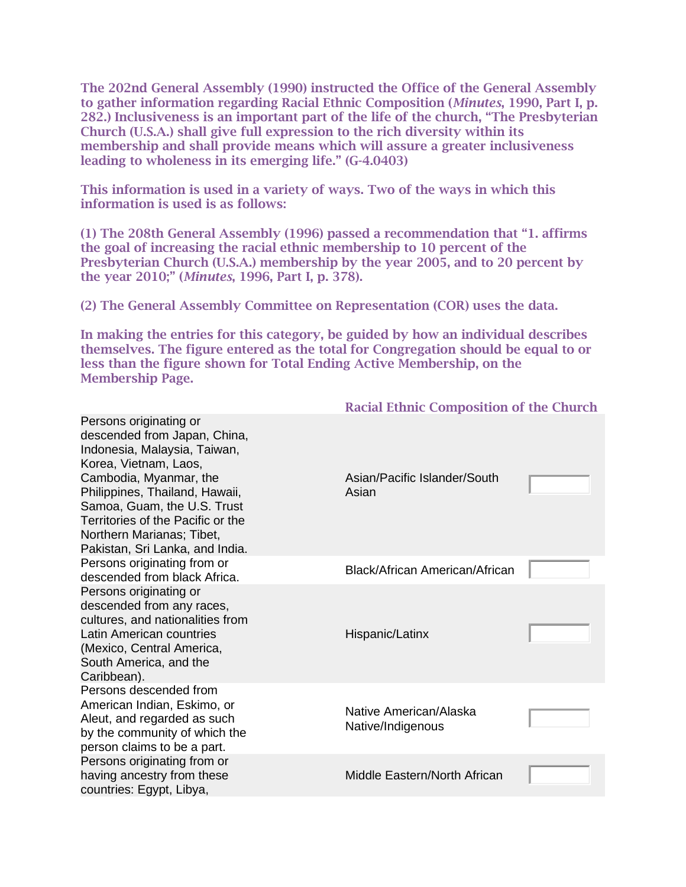The 202nd General Assembly (1990) instructed the Office of the General Assembly to gather information regarding Racial Ethnic Composition (*Minutes*, 1990, Part I, p. 282.) Inclusiveness is an important part of the life of the church, "The Presbyterian Church (U.S.A.) shall give full expression to the rich diversity within its membership and shall provide means which will assure a greater inclusiveness leading to wholeness in its emerging life." (G-4.0403)

This information is used in a variety of ways. Two of the ways in which this information is used is as follows:

(1) The 208th General Assembly (1996) passed a recommendation that "1. affirms the goal of increasing the racial ethnic membership to 10 percent of the Presbyterian Church (U.S.A.) membership by the year 2005, and to 20 percent by the year 2010;" (*Minutes*, 1996, Part I, p. 378).

(2) The General Assembly Committee on Representation (COR) uses the data.

In making the entries for this category, be guided by how an individual describes themselves. The figure entered as the total for Congregation should be equal to or less than the figure shown for Total Ending Active Membership, on the Membership Page.

| Persons originating or<br>descended from Japan, China,<br>Indonesia, Malaysia, Taiwan,<br>Korea, Vietnam, Laos,                                                                              |                                             |  |
|----------------------------------------------------------------------------------------------------------------------------------------------------------------------------------------------|---------------------------------------------|--|
| Cambodia, Myanmar, the<br>Philippines, Thailand, Hawaii,<br>Samoa, Guam, the U.S. Trust<br>Territories of the Pacific or the<br>Northern Marianas; Tibet,<br>Pakistan, Sri Lanka, and India. | Asian/Pacific Islander/South<br>Asian       |  |
| Persons originating from or<br>descended from black Africa.                                                                                                                                  | Black/African American/African              |  |
| Persons originating or<br>descended from any races,<br>cultures, and nationalities from<br>Latin American countries<br>(Mexico, Central America,<br>South America, and the<br>Caribbean).    | Hispanic/Latinx                             |  |
| Persons descended from<br>American Indian, Eskimo, or<br>Aleut, and regarded as such<br>by the community of which the<br>person claims to be a part.                                         | Native American/Alaska<br>Native/Indigenous |  |
| Persons originating from or<br>having ancestry from these<br>countries: Egypt, Libya,                                                                                                        | Middle Eastern/North African                |  |

Racial Ethnic Composition of the Church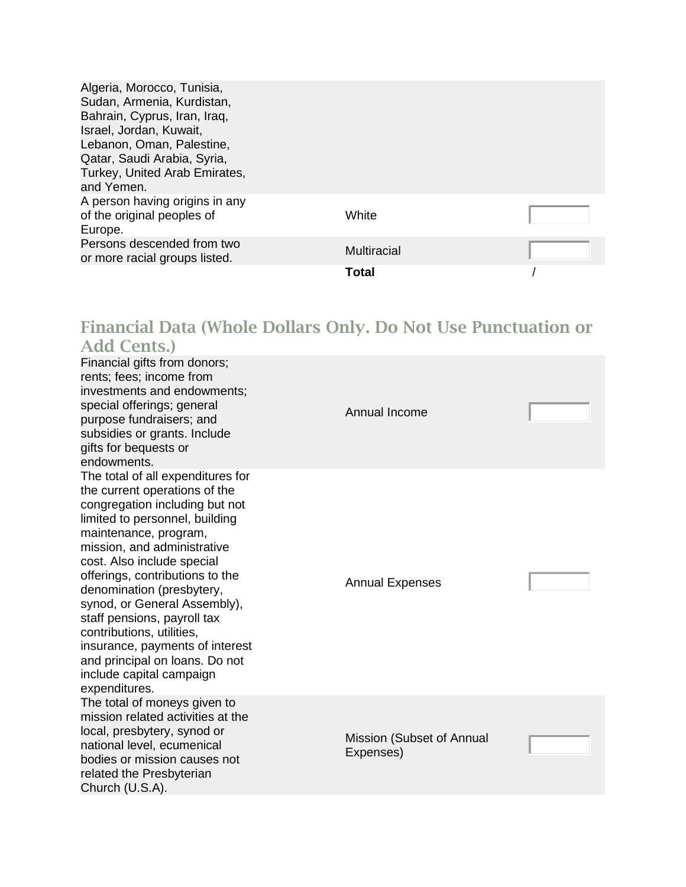| Algeria, Morocco, Tunisia,<br>Sudan, Armenia, Kurdistan,<br>Bahrain, Cyprus, Iran, Iraq,<br>Israel, Jordan, Kuwait,<br>Lebanon, Oman, Palestine,<br>Qatar, Saudi Arabia, Syria,<br>Turkey, United Arab Emirates,<br>and Yemen. |             |  |
|--------------------------------------------------------------------------------------------------------------------------------------------------------------------------------------------------------------------------------|-------------|--|
| A person having origins in any<br>of the original peoples of<br>Europe.                                                                                                                                                        | White       |  |
| Persons descended from two<br>or more racial groups listed.                                                                                                                                                                    | Multiracial |  |
|                                                                                                                                                                                                                                | Total       |  |

## Financial Data (Whole Dollars Only. Do Not Use Punctuation or Add Cents.)

| Financial gifts from donors;<br>rents; fees; income from<br>investments and endowments;<br>special offerings; general<br>purpose fundraisers; and<br>subsidies or grants. Include<br>gifts for bequests or<br>endowments.                                                                                                                                                                                                                                                                                  | Annual Income                          |  |
|------------------------------------------------------------------------------------------------------------------------------------------------------------------------------------------------------------------------------------------------------------------------------------------------------------------------------------------------------------------------------------------------------------------------------------------------------------------------------------------------------------|----------------------------------------|--|
| The total of all expenditures for<br>the current operations of the<br>congregation including but not<br>limited to personnel, building<br>maintenance, program,<br>mission, and administrative<br>cost. Also include special<br>offerings, contributions to the<br>denomination (presbytery,<br>synod, or General Assembly),<br>staff pensions, payroll tax<br>contributions, utilities,<br>insurance, payments of interest<br>and principal on loans. Do not<br>include capital campaign<br>expenditures. | <b>Annual Expenses</b>                 |  |
| The total of moneys given to<br>mission related activities at the<br>local, presbytery, synod or<br>national level, ecumenical<br>bodies or mission causes not<br>related the Presbyterian<br>Church (U.S.A).                                                                                                                                                                                                                                                                                              | Mission (Subset of Annual<br>Expenses) |  |